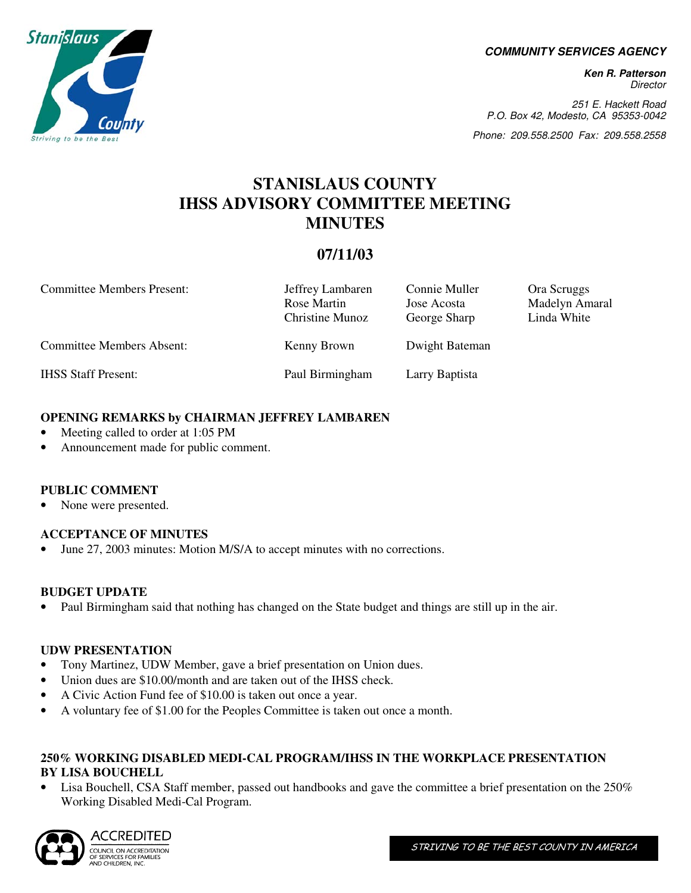**COMMUNITY SERVICES AGENCY** 

**Ken R. Patterson**  Director

251 E. Hackett Road P.O. Box 42, Modesto, CA 95353-0042

Phone: 209.558.2500 Fax: 209.558.2558

# **STANISLAUS COUNTY IHSS ADVISORY COMMITTEE MEETING MINUTES**

# **07/11/03**

| <b>Committee Members Present:</b> | Jeffrey Lambaren<br>Rose Martin<br>Christine Munoz | Connie Muller<br>Jose Acosta<br>George Sharp | Ora Scruggs<br>Madelyn Amaral<br>Linda White |
|-----------------------------------|----------------------------------------------------|----------------------------------------------|----------------------------------------------|
| <b>Committee Members Absent:</b>  | Kenny Brown                                        | Dwight Bateman                               |                                              |
| <b>IHSS Staff Present:</b>        | Paul Birmingham                                    | Larry Baptista                               |                                              |

## **OPENING REMARKS by CHAIRMAN JEFFREY LAMBAREN**

- Meeting called to order at 1:05 PM
- Announcement made for public comment.

## **PUBLIC COMMENT**

None were presented.

## **ACCEPTANCE OF MINUTES**

June 27, 2003 minutes: Motion M/S/A to accept minutes with no corrections.

## **BUDGET UPDATE**

• Paul Birmingham said that nothing has changed on the State budget and things are still up in the air.

## **UDW PRESENTATION**

- Tony Martinez, UDW Member, gave a brief presentation on Union dues.
- Union dues are \$10.00/month and are taken out of the IHSS check.
- A Civic Action Fund fee of \$10.00 is taken out once a year.
- A voluntary fee of \$1.00 for the Peoples Committee is taken out once a month.

## **250% WORKING DISABLED MEDI-CAL PROGRAM/IHSS IN THE WORKPLACE PRESENTATION BY LISA BOUCHELL**

• Lisa Bouchell, CSA Staff member, passed out handbooks and gave the committee a brief presentation on the 250% Working Disabled Medi-Cal Program.



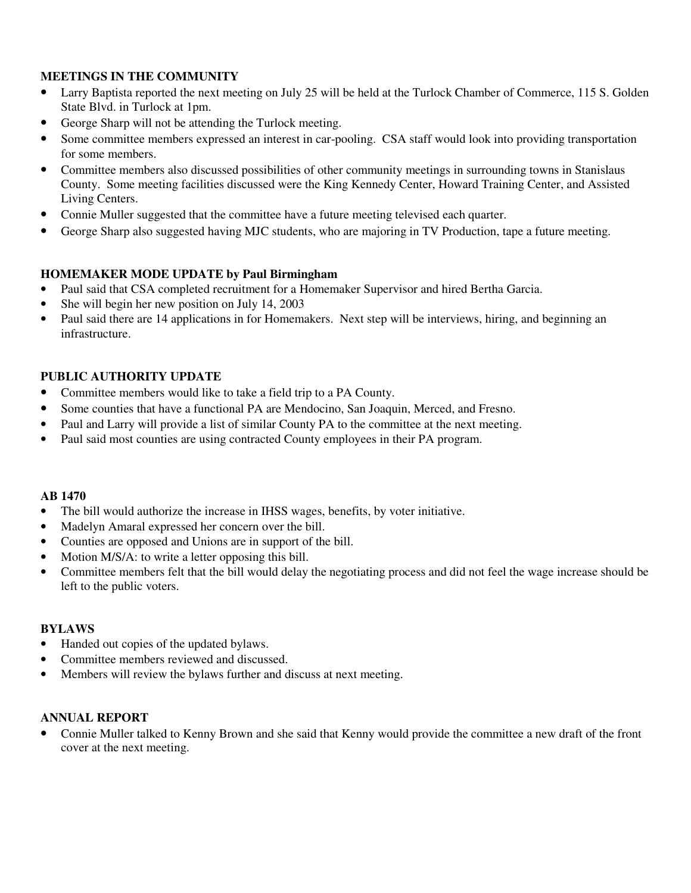## **MEETINGS IN THE COMMUNITY**

- Larry Baptista reported the next meeting on July 25 will be held at the Turlock Chamber of Commerce, 115 S. Golden State Blvd. in Turlock at 1pm.
- George Sharp will not be attending the Turlock meeting.
- Some committee members expressed an interest in car-pooling. CSA staff would look into providing transportation for some members.
- Committee members also discussed possibilities of other community meetings in surrounding towns in Stanislaus County. Some meeting facilities discussed were the King Kennedy Center, Howard Training Center, and Assisted Living Centers.
- Connie Muller suggested that the committee have a future meeting televised each quarter.
- George Sharp also suggested having MJC students, who are majoring in TV Production, tape a future meeting.

## **HOMEMAKER MODE UPDATE by Paul Birmingham**

- Paul said that CSA completed recruitment for a Homemaker Supervisor and hired Bertha Garcia.
- She will begin her new position on July 14, 2003
- Paul said there are 14 applications in for Homemakers. Next step will be interviews, hiring, and beginning an infrastructure.

## **PUBLIC AUTHORITY UPDATE**

- Committee members would like to take a field trip to a PA County.
- Some counties that have a functional PA are Mendocino, San Joaquin, Merced, and Fresno.
- Paul and Larry will provide a list of similar County PA to the committee at the next meeting.
- Paul said most counties are using contracted County employees in their PA program.

#### **AB 1470**

- The bill would authorize the increase in IHSS wages, benefits, by voter initiative.
- Madelyn Amaral expressed her concern over the bill.
- Counties are opposed and Unions are in support of the bill.
- Motion M/S/A: to write a letter opposing this bill.
- Committee members felt that the bill would delay the negotiating process and did not feel the wage increase should be left to the public voters.

#### **BYLAWS**

- Handed out copies of the updated bylaws.
- Committee members reviewed and discussed.
- Members will review the bylaws further and discuss at next meeting.

#### **ANNUAL REPORT**

• Connie Muller talked to Kenny Brown and she said that Kenny would provide the committee a new draft of the front cover at the next meeting.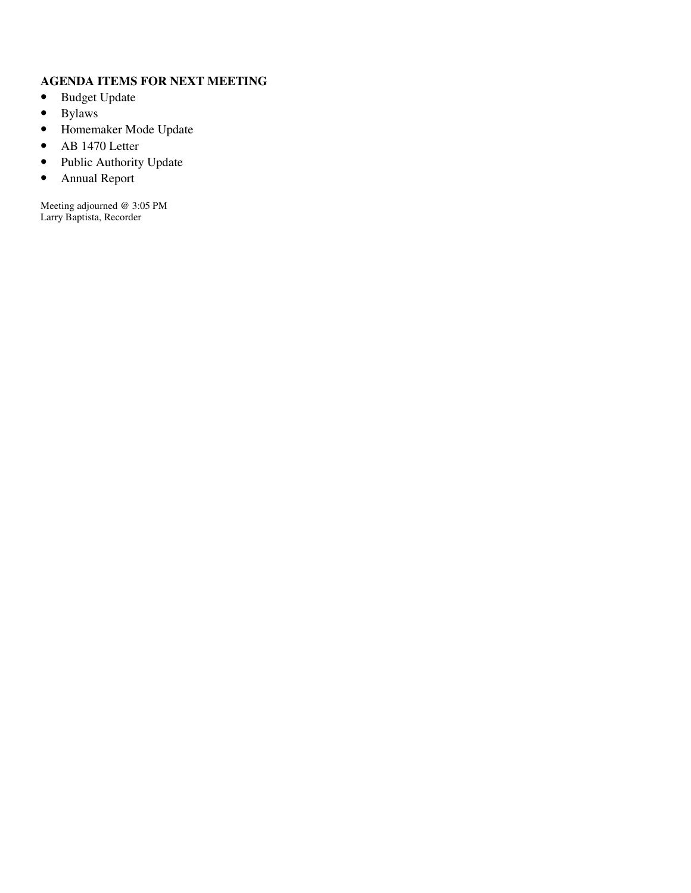## **AGENDA ITEMS FOR NEXT MEETING**

- Budget Update
- Bylaws
- Homemaker Mode Update
- AB 1470 Letter
- Public Authority Update
- Annual Report

Meeting adjourned @ 3:05 PM Larry Baptista, Recorder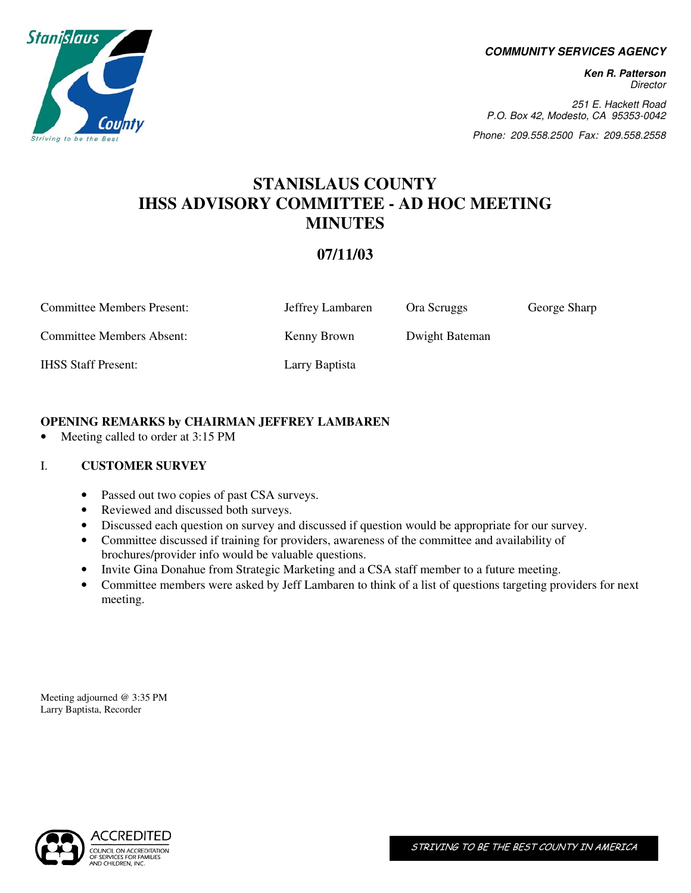

#### **COMMUNITY SERVICES AGENCY**

**Ken R. Patterson Director** 

251 E. Hackett Road P.O. Box 42, Modesto, CA 95353-0042

Phone: 209.558.2500 Fax: 209.558.2558

# **STANISLAUS COUNTY IHSS ADVISORY COMMITTEE - AD HOC MEETING MINUTES**

## **07/11/03**

| <b>Committee Members Present:</b> | Jeffrey Lambaren | Ora Scruggs    | George Sharp |
|-----------------------------------|------------------|----------------|--------------|
| Committee Members Absent:         | Kenny Brown      | Dwight Bateman |              |
| <b>IHSS Staff Present:</b>        | Larry Baptista   |                |              |

## **OPENING REMARKS by CHAIRMAN JEFFREY LAMBAREN**

• Meeting called to order at 3:15 PM

## I. **CUSTOMER SURVEY**

- Passed out two copies of past CSA surveys.
- Reviewed and discussed both surveys.
- Discussed each question on survey and discussed if question would be appropriate for our survey.
- Committee discussed if training for providers, awareness of the committee and availability of brochures/provider info would be valuable questions.
- Invite Gina Donahue from Strategic Marketing and a CSA staff member to a future meeting.
- Committee members were asked by Jeff Lambaren to think of a list of questions targeting providers for next meeting.

Meeting adjourned @ 3:35 PM Larry Baptista, Recorder